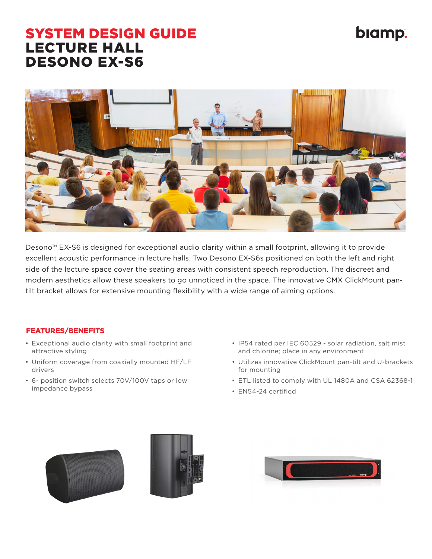## biamp.

## SYSTEM DESIGN GUIDE LECTURE HALL DESONO EX-S6



Desono™ EX-S6 is designed for exceptional audio clarity within a small footprint, allowing it to provide excellent acoustic performance in lecture halls. Two Desono EX-S6s positioned on both the left and right side of the lecture space cover the seating areas with consistent speech reproduction. The discreet and modern aesthetics allow these speakers to go unnoticed in the space. The innovative CMX ClickMount pantilt bracket allows for extensive mounting flexibility with a wide range of aiming options.

## FEATURES/BENEFITS

- Exceptional audio clarity with small footprint and attractive styling
- Uniform coverage from coaxially mounted HF/LF drivers
- 6- position switch selects 70V/100V taps or low impedance bypass
- IP54 rated per IEC 60529 solar radiation, salt mist and chlorine; place in any environment
- Utilizes innovative ClickMount pan-tilt and U-brackets for mounting
- ETL listed to comply with UL 1480A and CSA 62368-1
- EN54-24 certified